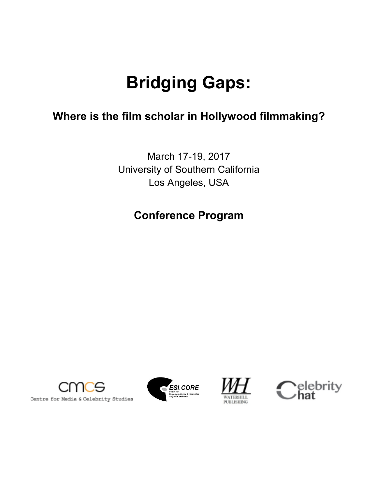# **Bridging Gaps:**

### **Where is the film scholar in Hollywood filmmaking?**

March 17-19, 2017 University of Southern California Los Angeles, USA

### **Conference Program**







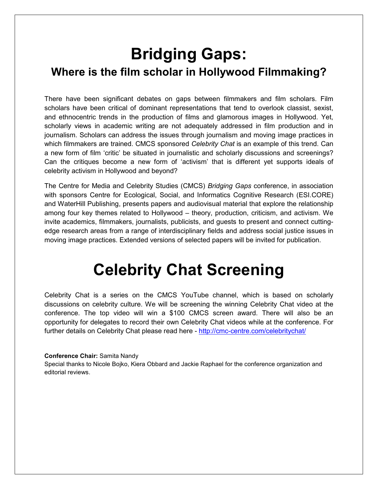## **Bridging Gaps: Where is the film scholar in Hollywood Filmmaking?**

There have been significant debates on gaps between filmmakers and film scholars. Film scholars have been critical of dominant representations that tend to overlook classist, sexist, and ethnocentric trends in the production of films and glamorous images in Hollywood. Yet, scholarly views in academic writing are not adequately addressed in film production and in journalism. Scholars can address the issues through journalism and moving image practices in which filmmakers are trained. CMCS sponsored *Celebrity Chat* is an example of this trend. Can a new form of film 'critic' be situated in journalistic and scholarly discussions and screenings? Can the critiques become a new form of 'activism' that is different yet supports ideals of celebrity activism in Hollywood and beyond?

The Centre for Media and Celebrity Studies (CMCS) *Bridging Gaps* conference, in association with sponsors Centre for Ecological, Social, and Informatics Cognitive Research (ESI.CORE) and WaterHill Publishing, presents papers and audiovisual material that explore the relationship among four key themes related to Hollywood – theory, production, criticism, and activism. We invite academics, filmmakers, journalists, publicists, and guests to present and connect cuttingedge research areas from a range of interdisciplinary fields and address social justice issues in moving image practices. Extended versions of selected papers will be invited for publication.

## **Celebrity Chat Screening**

Celebrity Chat is a series on the CMCS YouTube channel, which is based on scholarly discussions on celebrity culture. We will be screening the winning Celebrity Chat video at the conference. The top video will win a \$100 CMCS screen award. There will also be an opportunity for delegates to record their own Celebrity Chat videos while at the conference. For further details on Celebrity Chat please read here - http://cmc-centre.com/celebritychat/

#### **Conference Chair:** Samita Nandy

Special thanks to Nicole Bojko, Kiera Obbard and Jackie Raphael for the conference organization and editorial reviews.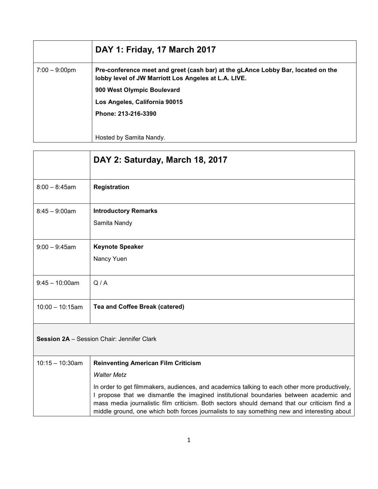|                         | DAY 1: Friday, 17 March 2017                                                                                                             |
|-------------------------|------------------------------------------------------------------------------------------------------------------------------------------|
| $7:00 - 9:00 \text{pm}$ | Pre-conference meet and greet (cash bar) at the gLAnce Lobby Bar, located on the<br>lobby level of JW Marriott Los Angeles at L.A. LIVE. |
|                         | 900 West Olympic Boulevard                                                                                                               |
|                         | Los Angeles, California 90015                                                                                                            |
|                         | Phone: 213-216-3390                                                                                                                      |
|                         |                                                                                                                                          |
|                         | Hosted by Samita Nandy.                                                                                                                  |

|                                            | DAY 2: Saturday, March 18, 2017                                                                                                                                                       |
|--------------------------------------------|---------------------------------------------------------------------------------------------------------------------------------------------------------------------------------------|
| $8:00 - 8:45$ am                           | <b>Registration</b>                                                                                                                                                                   |
| $8:45 - 9:00$ am                           | <b>Introductory Remarks</b><br>Samita Nandy                                                                                                                                           |
| $9:00 - 9:45$ am                           | <b>Keynote Speaker</b><br>Nancy Yuen                                                                                                                                                  |
| $9:45 - 10:00$ am                          | Q/A                                                                                                                                                                                   |
| $10:00 - 10:15am$                          | Tea and Coffee Break (catered)                                                                                                                                                        |
| Session 2A - Session Chair: Jennifer Clark |                                                                                                                                                                                       |
| $10:15 - 10:30$ am                         | <b>Reinventing American Film Criticism</b>                                                                                                                                            |
|                                            | <b>Walter Metz</b>                                                                                                                                                                    |
|                                            | In order to get filmmakers, audiences, and academics talking to each other more productively,<br>propose that we dismantle the imagined institutional boundaries between academic and |

mass media journalistic film criticism. Both sectors should demand that our criticism find a middle ground, one which both forces journalists to say something new and interesting about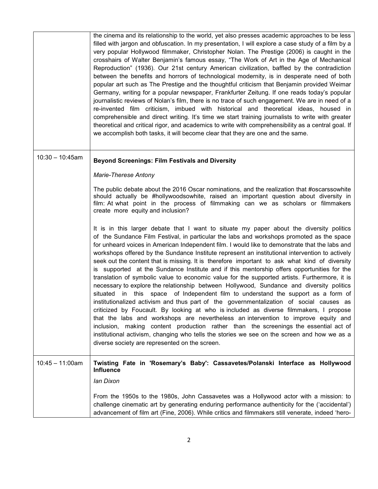|                    | the cinema and its relationship to the world, yet also presses academic approaches to be less<br>filled with jargon and obfuscation. In my presentation, I will explore a case study of a film by a<br>very popular Hollywood filmmaker, Christopher Nolan. The Prestige (2006) is caught in the<br>crosshairs of Walter Benjamin's famous essay, "The Work of Art in the Age of Mechanical<br>Reproduction" (1936). Our 21st century American civilization, baffled by the contradiction<br>between the benefits and horrors of technological modernity, is in desperate need of both<br>popular art such as The Prestige and the thoughtful criticism that Benjamin provided Weimar<br>Germany, writing for a popular newspaper, Frankfurter Zeitung. If one reads today's popular<br>journalistic reviews of Nolan's film, there is no trace of such engagement. We are in need of a<br>re-invented film criticism, imbued with historical and theoretical ideas, housed in<br>comprehensible and direct writing. It's time we start training journalists to write with greater<br>theoretical and critical rigor, and academics to write with comprehensibility as a central goal. If<br>we accomplish both tasks, it will become clear that they are one and the same.                                                                                                                     |
|--------------------|-------------------------------------------------------------------------------------------------------------------------------------------------------------------------------------------------------------------------------------------------------------------------------------------------------------------------------------------------------------------------------------------------------------------------------------------------------------------------------------------------------------------------------------------------------------------------------------------------------------------------------------------------------------------------------------------------------------------------------------------------------------------------------------------------------------------------------------------------------------------------------------------------------------------------------------------------------------------------------------------------------------------------------------------------------------------------------------------------------------------------------------------------------------------------------------------------------------------------------------------------------------------------------------------------------------------------------------------------------------------------------------------------|
| $10:30 - 10:45$ am | <b>Beyond Screenings: Film Festivals and Diversity</b>                                                                                                                                                                                                                                                                                                                                                                                                                                                                                                                                                                                                                                                                                                                                                                                                                                                                                                                                                                                                                                                                                                                                                                                                                                                                                                                                          |
|                    | Marie-Therese Antony                                                                                                                                                                                                                                                                                                                                                                                                                                                                                                                                                                                                                                                                                                                                                                                                                                                                                                                                                                                                                                                                                                                                                                                                                                                                                                                                                                            |
|                    | The public debate about the 2016 Oscar nominations, and the realization that #oscarssowhite<br>should actually be #hollywoodsowhite, raised an important question about diversity in<br>film: At what point in the process of filmmaking can we as scholars or filmmakers<br>create more equity and inclusion?                                                                                                                                                                                                                                                                                                                                                                                                                                                                                                                                                                                                                                                                                                                                                                                                                                                                                                                                                                                                                                                                                  |
|                    | It is in this larger debate that I want to situate my paper about the diversity politics<br>of the Sundance Film Festival, in particular the labs and workshops promoted as the space<br>for unheard voices in American Independent film. I would like to demonstrate that the labs and<br>workshops offered by the Sundance Institute represent an institutional intervention to actively<br>seek out the content that is missing. It is therefore important to ask what kind of diversity<br>is supported at the Sundance Institute and if this mentorship offers opportunities for the<br>translation of symbolic value to economic value for the supported artists. Furthermore, it is<br>necessary to explore the relationship between Hollywood, Sundance and diversity politics<br>situated in this space of Independent film to understand the support as a form of<br>institutionalized activism and thus part of the governmentalization of social causes as<br>criticized by Foucault. By looking at who is included as diverse filmmakers, I propose<br>that the labs and workshops are nevertheless an intervention to improve equity and<br>inclusion, making content production rather than the screenings the essential act of<br>institutional activism, changing who tells the stories we see on the screen and how we as a<br>diverse society are represented on the screen. |
| $10:45 - 11:00am$  | Twisting Fate in 'Rosemary's Baby': Cassavetes/Polanski Interface as Hollywood<br><b>Influence</b>                                                                                                                                                                                                                                                                                                                                                                                                                                                                                                                                                                                                                                                                                                                                                                                                                                                                                                                                                                                                                                                                                                                                                                                                                                                                                              |
|                    | lan Dixon                                                                                                                                                                                                                                                                                                                                                                                                                                                                                                                                                                                                                                                                                                                                                                                                                                                                                                                                                                                                                                                                                                                                                                                                                                                                                                                                                                                       |
|                    | From the 1950s to the 1980s, John Cassavetes was a Hollywood actor with a mission: to<br>challenge cinematic art by generating enduring performance authenticity for the ('accidental')<br>advancement of film art (Fine, 2006). While critics and filmmakers still venerate, indeed 'hero-                                                                                                                                                                                                                                                                                                                                                                                                                                                                                                                                                                                                                                                                                                                                                                                                                                                                                                                                                                                                                                                                                                     |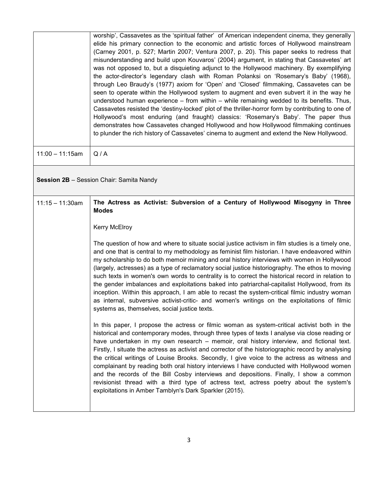|                   | worship', Cassavetes as the 'spiritual father' of American independent cinema, they generally<br>elide his primary connection to the economic and artistic forces of Hollywood mainstream<br>(Carney 2001, p. 527; Martin 2007; Ventura 2007, p. 20). This paper seeks to redress that<br>misunderstanding and build upon Kouvaros' (2004) argument, in stating that Cassavetes' art<br>was not opposed to, but a disquieting adjunct to the Hollywood machinery. By exemplifying<br>the actor-director's legendary clash with Roman Polanksi on 'Rosemary's Baby' (1968),<br>through Leo Braudy's (1977) axiom for 'Open' and 'Closed' filmmaking, Cassavetes can be<br>seen to operate within the Hollywood system to augment and even subvert it in the way he<br>understood human experience - from within - while remaining wedded to its benefits. Thus,<br>Cassavetes resisted the 'destiny-locked' plot of the thriller-horror form by contributing to one of<br>Hollywood's most enduring (and fraught) classics: 'Rosemary's Baby'. The paper thus<br>demonstrates how Cassavetes changed Hollywood and how Hollywood filmmaking continues<br>to plunder the rich history of Cassavetes' cinema to augment and extend the New Hollywood. |
|-------------------|----------------------------------------------------------------------------------------------------------------------------------------------------------------------------------------------------------------------------------------------------------------------------------------------------------------------------------------------------------------------------------------------------------------------------------------------------------------------------------------------------------------------------------------------------------------------------------------------------------------------------------------------------------------------------------------------------------------------------------------------------------------------------------------------------------------------------------------------------------------------------------------------------------------------------------------------------------------------------------------------------------------------------------------------------------------------------------------------------------------------------------------------------------------------------------------------------------------------------------------------------|
| $11:00 - 11:15am$ | Q/A                                                                                                                                                                                                                                                                                                                                                                                                                                                                                                                                                                                                                                                                                                                                                                                                                                                                                                                                                                                                                                                                                                                                                                                                                                                |
|                   | Session 2B - Session Chair: Samita Nandy                                                                                                                                                                                                                                                                                                                                                                                                                                                                                                                                                                                                                                                                                                                                                                                                                                                                                                                                                                                                                                                                                                                                                                                                           |
| $11:15 - 11:30am$ | The Actress as Activist: Subversion of a Century of Hollywood Misogyny in Three<br><b>Modes</b>                                                                                                                                                                                                                                                                                                                                                                                                                                                                                                                                                                                                                                                                                                                                                                                                                                                                                                                                                                                                                                                                                                                                                    |
|                   | <b>Kerry McElroy</b>                                                                                                                                                                                                                                                                                                                                                                                                                                                                                                                                                                                                                                                                                                                                                                                                                                                                                                                                                                                                                                                                                                                                                                                                                               |
|                   | The question of how and where to situate social justice activism in film studies is a timely one,<br>and one that is central to my methodology as feminist film historian. I have endeavored within<br>my scholarship to do both memoir mining and oral history interviews with women in Hollywood<br>(largely, actresses) as a type of reclamatory social justice historiography. The ethos to moving<br>such texts in women's own words to centrality is to correct the historical record in relation to<br>the gender imbalances and exploitations baked into patriarchal-capitalist Hollywood, from its<br>inception. Within this approach, I am able to recast the system-critical filmic industry woman<br>as internal, subversive activist-critic- and women's writings on the exploitations of filmic<br>systems as, themselves, social justice texts.                                                                                                                                                                                                                                                                                                                                                                                     |
|                   | In this paper, I propose the actress or filmic woman as system-critical activist both in the<br>historical and contemporary modes, through three types of texts I analyse via close reading or<br>have undertaken in my own research - memoir, oral history interview, and fictional text.<br>Firstly, I situate the actress as activist and corrector of the historiographic record by analysing<br>the critical writings of Louise Brooks. Secondly, I give voice to the actress as witness and<br>complainant by reading both oral history interviews I have conducted with Hollywood women<br>and the records of the Bill Cosby interviews and depositions. Finally, I show a common<br>revisionist thread with a third type of actress text, actress poetry about the system's<br>exploitations in Amber Tamblyn's Dark Sparkler (2015).                                                                                                                                                                                                                                                                                                                                                                                                      |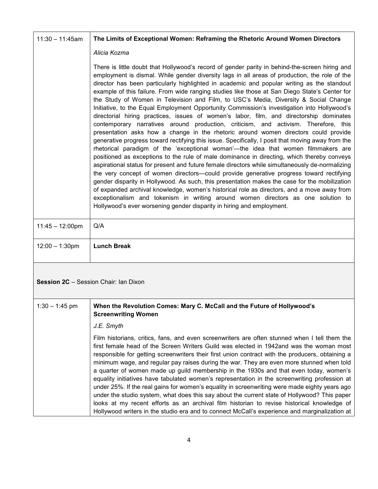| $11:30 - 11:45am$         | The Limits of Exceptional Women: Reframing the Rhetoric Around Women Directors                                                                                                                                                                                                                                                                                                                                                                                                                                                                                                                                                                                                                                                                                                                                                                                                                                                                                                                                                                                                                                                                                                                                                                                                                                                                                                                                                                                                                                                                                                                                                                                                                                   |  |
|---------------------------|------------------------------------------------------------------------------------------------------------------------------------------------------------------------------------------------------------------------------------------------------------------------------------------------------------------------------------------------------------------------------------------------------------------------------------------------------------------------------------------------------------------------------------------------------------------------------------------------------------------------------------------------------------------------------------------------------------------------------------------------------------------------------------------------------------------------------------------------------------------------------------------------------------------------------------------------------------------------------------------------------------------------------------------------------------------------------------------------------------------------------------------------------------------------------------------------------------------------------------------------------------------------------------------------------------------------------------------------------------------------------------------------------------------------------------------------------------------------------------------------------------------------------------------------------------------------------------------------------------------------------------------------------------------------------------------------------------------|--|
|                           | Alicia Kozma                                                                                                                                                                                                                                                                                                                                                                                                                                                                                                                                                                                                                                                                                                                                                                                                                                                                                                                                                                                                                                                                                                                                                                                                                                                                                                                                                                                                                                                                                                                                                                                                                                                                                                     |  |
|                           | There is little doubt that Hollywood's record of gender parity in behind-the-screen hiring and<br>employment is dismal. While gender diversity lags in all areas of production, the role of the<br>director has been particularly highlighted in academic and popular writing as the standout<br>example of this failure. From wide ranging studies like those at San Diego State's Center for<br>the Study of Women in Television and Film, to USC's Media, Diversity & Social Change<br>Initiative, to the Equal Employment Opportunity Commission's investigation into Hollywood's<br>directorial hiring practices, issues of women's labor, film, and directorship dominates<br>contemporary narratives around production, criticism, and activism. Therefore, this<br>presentation asks how a change in the rhetoric around women directors could provide<br>generative progress toward rectifying this issue. Specifically, I posit that moving away from the<br>rhetorical paradigm of the 'exceptional woman'—the idea that women filmmakers are<br>positioned as exceptions to the rule of male dominance in directing, which thereby conveys<br>aspirational status for present and future female directors while simultaneously de-normalizing<br>the very concept of women directors-could provide generative progress toward rectifying<br>gender disparity in Hollywood. As such, this presentation makes the case for the mobilization<br>of expanded archival knowledge, women's historical role as directors, and a move away from<br>exceptionalism and tokenism in writing around women directors as one solution to<br>Hollywood's ever worsening gender disparity in hiring and employment. |  |
| $11:45 - 12:00 \text{pm}$ | Q/A                                                                                                                                                                                                                                                                                                                                                                                                                                                                                                                                                                                                                                                                                                                                                                                                                                                                                                                                                                                                                                                                                                                                                                                                                                                                                                                                                                                                                                                                                                                                                                                                                                                                                                              |  |
| $12:00 - 1:30$ pm         | <b>Lunch Break</b>                                                                                                                                                                                                                                                                                                                                                                                                                                                                                                                                                                                                                                                                                                                                                                                                                                                                                                                                                                                                                                                                                                                                                                                                                                                                                                                                                                                                                                                                                                                                                                                                                                                                                               |  |
|                           | <b>Session 2C</b> - Session Chair: Ian Dixon                                                                                                                                                                                                                                                                                                                                                                                                                                                                                                                                                                                                                                                                                                                                                                                                                                                                                                                                                                                                                                                                                                                                                                                                                                                                                                                                                                                                                                                                                                                                                                                                                                                                     |  |
| $1:30 - 1:45$ pm          | When the Revolution Comes: Mary C. McCall and the Future of Hollywood's<br><b>Screenwriting Women</b>                                                                                                                                                                                                                                                                                                                                                                                                                                                                                                                                                                                                                                                                                                                                                                                                                                                                                                                                                                                                                                                                                                                                                                                                                                                                                                                                                                                                                                                                                                                                                                                                            |  |
|                           | J.E. Smyth                                                                                                                                                                                                                                                                                                                                                                                                                                                                                                                                                                                                                                                                                                                                                                                                                                                                                                                                                                                                                                                                                                                                                                                                                                                                                                                                                                                                                                                                                                                                                                                                                                                                                                       |  |
|                           | Film historians, critics, fans, and even screenwriters are often stunned when I tell them the<br>first female head of the Screen Writers Guild was elected in 1942and was the woman most<br>responsible for getting screenwriters their first union contract with the producers, obtaining a<br>minimum wage, and regular pay raises during the war. They are even more stunned when told<br>a quarter of women made up guild membership in the 1930s and that even today, women's<br>equality initiatives have tabulated women's representation in the screenwriting profession at<br>under 25%. If the real gains for women's equality in screenwriting were made eighty years ago<br>under the studio system, what does this say about the current state of Hollywood? This paper<br>looks at my recent efforts as an archival film historian to revise historical knowledge of<br>Hollywood writers in the studio era and to connect McCall's experience and marginalization at                                                                                                                                                                                                                                                                                                                                                                                                                                                                                                                                                                                                                                                                                                                              |  |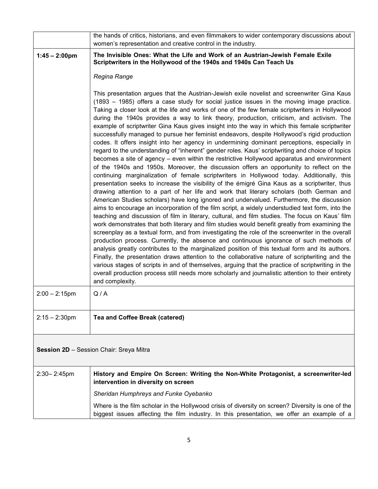|                                                | the hands of critics, historians, and even filmmakers to wider contemporary discussions about<br>women's representation and creative control in the industry.                                                                                                                                                                                                                                                                                                                                                                                                                                                                                                                                                                                                                                                                                                                                                                                                                                                                                                                                                                                                                                                                                                                                                                                                                                                                                                                                                                                                                                                                                                                                                                                                                                                                                                                                                                                                                                                                                                                                                                                                                                                                                                                                                          |  |
|------------------------------------------------|------------------------------------------------------------------------------------------------------------------------------------------------------------------------------------------------------------------------------------------------------------------------------------------------------------------------------------------------------------------------------------------------------------------------------------------------------------------------------------------------------------------------------------------------------------------------------------------------------------------------------------------------------------------------------------------------------------------------------------------------------------------------------------------------------------------------------------------------------------------------------------------------------------------------------------------------------------------------------------------------------------------------------------------------------------------------------------------------------------------------------------------------------------------------------------------------------------------------------------------------------------------------------------------------------------------------------------------------------------------------------------------------------------------------------------------------------------------------------------------------------------------------------------------------------------------------------------------------------------------------------------------------------------------------------------------------------------------------------------------------------------------------------------------------------------------------------------------------------------------------------------------------------------------------------------------------------------------------------------------------------------------------------------------------------------------------------------------------------------------------------------------------------------------------------------------------------------------------------------------------------------------------------------------------------------------------|--|
| $1:45 - 2:00 \text{pm}$                        | The Invisible Ones: What the Life and Work of an Austrian-Jewish Female Exile<br>Scriptwriters in the Hollywood of the 1940s and 1940s Can Teach Us                                                                                                                                                                                                                                                                                                                                                                                                                                                                                                                                                                                                                                                                                                                                                                                                                                                                                                                                                                                                                                                                                                                                                                                                                                                                                                                                                                                                                                                                                                                                                                                                                                                                                                                                                                                                                                                                                                                                                                                                                                                                                                                                                                    |  |
|                                                | Regina Range                                                                                                                                                                                                                                                                                                                                                                                                                                                                                                                                                                                                                                                                                                                                                                                                                                                                                                                                                                                                                                                                                                                                                                                                                                                                                                                                                                                                                                                                                                                                                                                                                                                                                                                                                                                                                                                                                                                                                                                                                                                                                                                                                                                                                                                                                                           |  |
|                                                | This presentation argues that the Austrian-Jewish exile novelist and screenwriter Gina Kaus<br>(1893 – 1985) offers a case study for social justice issues in the moving image practice.<br>Taking a closer look at the life and works of one of the few female scriptwriters in Hollywood<br>during the 1940s provides a way to link theory, production, criticism, and activism. The<br>example of scriptwriter Gina Kaus gives insight into the way in which this female scriptwriter<br>successfully managed to pursue her feminist endeavors, despite Hollywood's rigid production<br>codes. It offers insight into her agency in undermining dominant perceptions, especially in<br>regard to the understanding of "inherent" gender roles. Kaus' scriptwriting and choice of topics<br>becomes a site of agency – even within the restrictive Hollywood apparatus and environment<br>of the 1940s and 1950s. Moreover, the discussion offers an opportunity to reflect on the<br>continuing marginalization of female scriptwriters in Hollywood today. Additionally, this<br>presentation seeks to increase the visibility of the émigré Gina Kaus as a scriptwriter, thus<br>drawing attention to a part of her life and work that literary scholars (both German and<br>American Studies scholars) have long ignored and undervalued. Furthermore, the discussion<br>aims to encourage an incorporation of the film script, a widely understudied text form, into the<br>teaching and discussion of film in literary, cultural, and film studies. The focus on Kaus' film<br>work demonstrates that both literary and film studies would benefit greatly from examining the<br>screenplay as a textual form, and from investigating the role of the screenwriter in the overall<br>production process. Currently, the absence and continuous ignorance of such methods of<br>analysis greatly contributes to the marginalized position of this textual form and its authors.<br>Finally, the presentation draws attention to the collaborative nature of scriptwriting and the<br>various stages of scripts in and of themselves, arguing that the practice of scriptwriting in the<br>overall production process still needs more scholarly and journalistic attention to their entirety<br>and complexity. |  |
| $2:00 - 2:15$ pm                               | Q/A                                                                                                                                                                                                                                                                                                                                                                                                                                                                                                                                                                                                                                                                                                                                                                                                                                                                                                                                                                                                                                                                                                                                                                                                                                                                                                                                                                                                                                                                                                                                                                                                                                                                                                                                                                                                                                                                                                                                                                                                                                                                                                                                                                                                                                                                                                                    |  |
| $2:15 - 2:30$ pm                               | Tea and Coffee Break (catered)                                                                                                                                                                                                                                                                                                                                                                                                                                                                                                                                                                                                                                                                                                                                                                                                                                                                                                                                                                                                                                                                                                                                                                                                                                                                                                                                                                                                                                                                                                                                                                                                                                                                                                                                                                                                                                                                                                                                                                                                                                                                                                                                                                                                                                                                                         |  |
| <b>Session 2D</b> - Session Chair: Sreya Mitra |                                                                                                                                                                                                                                                                                                                                                                                                                                                                                                                                                                                                                                                                                                                                                                                                                                                                                                                                                                                                                                                                                                                                                                                                                                                                                                                                                                                                                                                                                                                                                                                                                                                                                                                                                                                                                                                                                                                                                                                                                                                                                                                                                                                                                                                                                                                        |  |
| $2:30 - 2:45$ pm                               | History and Empire On Screen: Writing the Non-White Protagonist, a screenwriter-led<br>intervention in diversity on screen                                                                                                                                                                                                                                                                                                                                                                                                                                                                                                                                                                                                                                                                                                                                                                                                                                                                                                                                                                                                                                                                                                                                                                                                                                                                                                                                                                                                                                                                                                                                                                                                                                                                                                                                                                                                                                                                                                                                                                                                                                                                                                                                                                                             |  |
|                                                | Sheridan Humphreys and Funke Oyebanko                                                                                                                                                                                                                                                                                                                                                                                                                                                                                                                                                                                                                                                                                                                                                                                                                                                                                                                                                                                                                                                                                                                                                                                                                                                                                                                                                                                                                                                                                                                                                                                                                                                                                                                                                                                                                                                                                                                                                                                                                                                                                                                                                                                                                                                                                  |  |
|                                                | Where is the film scholar in the Hollywood crisis of diversity on screen? Diversity is one of the<br>biggest issues affecting the film industry. In this presentation, we offer an example of a                                                                                                                                                                                                                                                                                                                                                                                                                                                                                                                                                                                                                                                                                                                                                                                                                                                                                                                                                                                                                                                                                                                                                                                                                                                                                                                                                                                                                                                                                                                                                                                                                                                                                                                                                                                                                                                                                                                                                                                                                                                                                                                        |  |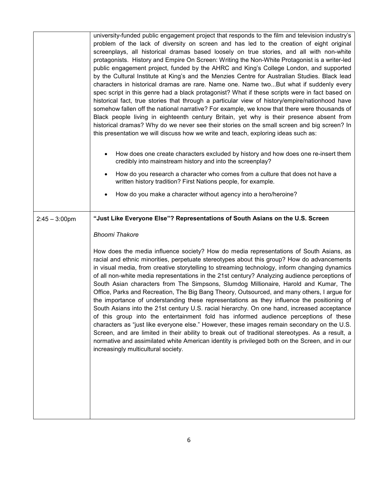|                  | university-funded public engagement project that responds to the film and television industry's<br>problem of the lack of diversity on screen and has led to the creation of eight original<br>screenplays, all historical dramas based loosely on true stories, and all with non-white<br>protagonists. History and Empire On Screen: Writing the Non-White Protagonist is a writer-led<br>public engagement project, funded by the AHRC and King's College London, and supported<br>by the Cultural Institute at King's and the Menzies Centre for Australian Studies. Black lead<br>characters in historical dramas are rare. Name one. Name twoBut what if suddenly every<br>spec script in this genre had a black protagonist? What if these scripts were in fact based on<br>historical fact, true stories that through a particular view of history/empire/nationhood have<br>somehow fallen off the national narrative? For example, we know that there were thousands of<br>Black people living in eighteenth century Britain, yet why is their presence absent from<br>historical dramas? Why do we never see their stories on the small screen and big screen? In<br>this presentation we will discuss how we write and teach, exploring ideas such as:<br>How does one create characters excluded by history and how does one re-insert them<br>credibly into mainstream history and into the screenplay?<br>How do you research a character who comes from a culture that does not have a<br>$\bullet$<br>written history tradition? First Nations people, for example.<br>How do you make a character without agency into a hero/heroine? |
|------------------|---------------------------------------------------------------------------------------------------------------------------------------------------------------------------------------------------------------------------------------------------------------------------------------------------------------------------------------------------------------------------------------------------------------------------------------------------------------------------------------------------------------------------------------------------------------------------------------------------------------------------------------------------------------------------------------------------------------------------------------------------------------------------------------------------------------------------------------------------------------------------------------------------------------------------------------------------------------------------------------------------------------------------------------------------------------------------------------------------------------------------------------------------------------------------------------------------------------------------------------------------------------------------------------------------------------------------------------------------------------------------------------------------------------------------------------------------------------------------------------------------------------------------------------------------------------------------------------------------------------------------------------------------------|
| $2:45 - 3:00$ pm | "Just Like Everyone Else"? Representations of South Asians on the U.S. Screen                                                                                                                                                                                                                                                                                                                                                                                                                                                                                                                                                                                                                                                                                                                                                                                                                                                                                                                                                                                                                                                                                                                                                                                                                                                                                                                                                                                                                                                                                                                                                                           |
|                  | <b>Bhoomi Thakore</b>                                                                                                                                                                                                                                                                                                                                                                                                                                                                                                                                                                                                                                                                                                                                                                                                                                                                                                                                                                                                                                                                                                                                                                                                                                                                                                                                                                                                                                                                                                                                                                                                                                   |
|                  | How does the media influence society? How do media representations of South Asians, as<br>racial and ethnic minorities, perpetuate stereotypes about this group? How do advancements<br>in visual media, from creative storytelling to streaming technology, inform changing dynamics<br>of all non-white media representations in the 21st century? Analyzing audience perceptions of<br>South Asian characters from The Simpsons, Slumdog Millionaire, Harold and Kumar, The<br>Office, Parks and Recreation, The Big Bang Theory, Outsourced, and many others, I argue for<br>the importance of understanding these representations as they influence the positioning of<br>South Asians into the 21st century U.S. racial hierarchy. On one hand, increased acceptance<br>of this group into the entertainment fold has informed audience perceptions of these<br>characters as "just like everyone else." However, these images remain secondary on the U.S.<br>Screen, and are limited in their ability to break out of traditional stereotypes. As a result, a<br>normative and assimilated white American identity is privileged both on the Screen, and in our<br>increasingly multicultural society.                                                                                                                                                                                                                                                                                                                                                                                                                                          |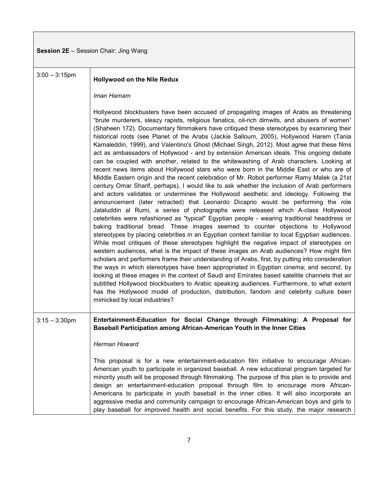### **Session 2E** – Session Chair: Jing Wang

| $3:00 - 3:15$ pm | <b>Hollywood on the Nile Redux</b>                                                                                                                                                                                                                                                                                                                                                                                                                                                                                                                                                                                                                                                                                                                                                                                                                                                                                                                                                                                                                                                                                                                                                                                                                                                                                                                                                                                                                                                                                                                                                                                                                                                                                                                                                                                                                                                                                                                                                                                                                                                                                                                                                                                                         |
|------------------|--------------------------------------------------------------------------------------------------------------------------------------------------------------------------------------------------------------------------------------------------------------------------------------------------------------------------------------------------------------------------------------------------------------------------------------------------------------------------------------------------------------------------------------------------------------------------------------------------------------------------------------------------------------------------------------------------------------------------------------------------------------------------------------------------------------------------------------------------------------------------------------------------------------------------------------------------------------------------------------------------------------------------------------------------------------------------------------------------------------------------------------------------------------------------------------------------------------------------------------------------------------------------------------------------------------------------------------------------------------------------------------------------------------------------------------------------------------------------------------------------------------------------------------------------------------------------------------------------------------------------------------------------------------------------------------------------------------------------------------------------------------------------------------------------------------------------------------------------------------------------------------------------------------------------------------------------------------------------------------------------------------------------------------------------------------------------------------------------------------------------------------------------------------------------------------------------------------------------------------------|
|                  | Iman Hamam                                                                                                                                                                                                                                                                                                                                                                                                                                                                                                                                                                                                                                                                                                                                                                                                                                                                                                                                                                                                                                                                                                                                                                                                                                                                                                                                                                                                                                                                                                                                                                                                                                                                                                                                                                                                                                                                                                                                                                                                                                                                                                                                                                                                                                 |
|                  | Hollywood blockbusters have been accused of propagating images of Arabs as threatening<br>"brute murderers, sleazy rapists, religious fanatics, oil-rich dimwits, and abusers of women"<br>(Shaheen 172). Documentary filmmakers have critiqued these stereotypes by examining their<br>historical roots (see Planet of the Arabs (Jackie Salloum, 2005), Hollywood Harem (Tania<br>Kamaleddin, 1999), and Valentino's Ghost (Michael Singh, 2012). Most agree that these films<br>act as ambassadors of Hollywood - and by extension American ideals. This ongoing debate<br>can be coupled with another, related to the whitewashing of Arab characters. Looking at<br>recent news items about Hollywood stars who were born in the Middle East or who are of<br>Middle Eastern origin and the recent celebration of Mr. Robot performer Ramy Malek (a 21st<br>century Omar Sharif, perhaps), I would like to ask whether the inclusion of Arab performers<br>and actors validates or undermines the Hollywood aesthetic and ideology. Following the<br>announcement (later retracted) that Leonardo Dicaprio would be performing the role<br>Jalaluddin al Rumi, a series of photographs were released which A-class Hollywood<br>celebrities were refashioned as "typical" Egyptian people - wearing traditional headdress or<br>baking traditional bread. These images seemed to counter objections to Hollywood<br>stereotypes by placing celebrities in an Egyptian context familiar to local Egyptian audiences.<br>While most critiques of these stereotypes highlight the negative impact of stereotypes on<br>western audiences, what is the impact of these images on Arab audiences? How might film<br>scholars and performers frame their understanding of Arabs, first, by putting into consideration<br>the ways in which stereotypes have been appropriated in Egyptian cinema; and second, by<br>looking at these images in the context of Saudi and Emirates based satellite channels that air<br>subtitled Hollywood blockbusters to Arabic speaking audiences. Furthermore, to what extent<br>has the Hollywood model of production, distribution, fandom and celebrity culture been<br>mimicked by local industries? |
| $3:15 - 3:30$ pm | Entertainment-Education for Social Change through Filmmaking: A Proposal for<br>Baseball Participation among African-American Youth in the Inner Cities                                                                                                                                                                                                                                                                                                                                                                                                                                                                                                                                                                                                                                                                                                                                                                                                                                                                                                                                                                                                                                                                                                                                                                                                                                                                                                                                                                                                                                                                                                                                                                                                                                                                                                                                                                                                                                                                                                                                                                                                                                                                                    |
|                  | Herman Howard                                                                                                                                                                                                                                                                                                                                                                                                                                                                                                                                                                                                                                                                                                                                                                                                                                                                                                                                                                                                                                                                                                                                                                                                                                                                                                                                                                                                                                                                                                                                                                                                                                                                                                                                                                                                                                                                                                                                                                                                                                                                                                                                                                                                                              |
|                  | This proposal is for a new entertainment-education film initiative to encourage African-<br>American youth to participate in organized baseball. A new educational program targeted for<br>minority youth will be proposed through filmmaking. The purpose of this plan is to provide and<br>design an entertainment-education proposal through film to encourage more African-<br>Americans to participate in youth baseball in the inner cities. It will also incorporate an<br>aggressive media and community campaign to encourage African-American boys and girls to<br>play baseball for improved health and social benefits. For this study, the major research                                                                                                                                                                                                                                                                                                                                                                                                                                                                                                                                                                                                                                                                                                                                                                                                                                                                                                                                                                                                                                                                                                                                                                                                                                                                                                                                                                                                                                                                                                                                                                     |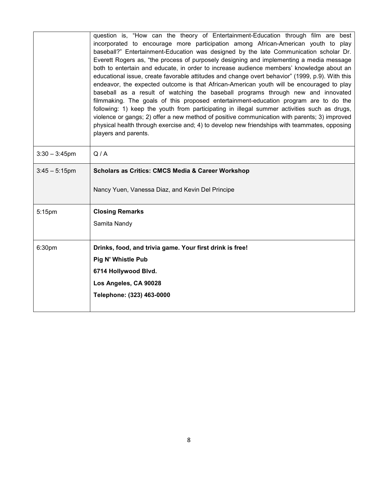|                  | question is, "How can the theory of Entertainment-Education through film are best<br>incorporated to encourage more participation among African-American youth to play<br>baseball?" Entertainment-Education was designed by the late Communication scholar Dr.<br>Everett Rogers as, "the process of purposely designing and implementing a media message<br>both to entertain and educate, in order to increase audience members' knowledge about an<br>educational issue, create favorable attitudes and change overt behavior" (1999, p.9). With this<br>endeavor, the expected outcome is that African-American youth will be encouraged to play<br>baseball as a result of watching the baseball programs through new and innovated |  |
|------------------|-------------------------------------------------------------------------------------------------------------------------------------------------------------------------------------------------------------------------------------------------------------------------------------------------------------------------------------------------------------------------------------------------------------------------------------------------------------------------------------------------------------------------------------------------------------------------------------------------------------------------------------------------------------------------------------------------------------------------------------------|--|
|                  | filmmaking. The goals of this proposed entertainment-education program are to do the<br>following: 1) keep the youth from participating in illegal summer activities such as drugs,<br>violence or gangs; 2) offer a new method of positive communication with parents; 3) improved<br>physical health through exercise and; 4) to develop new friendships with teammates, opposing<br>players and parents.                                                                                                                                                                                                                                                                                                                               |  |
| $3:30 - 3:45$ pm | Q/A                                                                                                                                                                                                                                                                                                                                                                                                                                                                                                                                                                                                                                                                                                                                       |  |
| $3:45 - 5:15$ pm | <b>Scholars as Critics: CMCS Media &amp; Career Workshop</b>                                                                                                                                                                                                                                                                                                                                                                                                                                                                                                                                                                                                                                                                              |  |
|                  | Nancy Yuen, Vanessa Diaz, and Kevin Del Principe                                                                                                                                                                                                                                                                                                                                                                                                                                                                                                                                                                                                                                                                                          |  |
| 5:15pm           | <b>Closing Remarks</b>                                                                                                                                                                                                                                                                                                                                                                                                                                                                                                                                                                                                                                                                                                                    |  |
|                  | Samita Nandy                                                                                                                                                                                                                                                                                                                                                                                                                                                                                                                                                                                                                                                                                                                              |  |
| 6:30pm           | Drinks, food, and trivia game. Your first drink is free!                                                                                                                                                                                                                                                                                                                                                                                                                                                                                                                                                                                                                                                                                  |  |
|                  | <b>Pig N' Whistle Pub</b>                                                                                                                                                                                                                                                                                                                                                                                                                                                                                                                                                                                                                                                                                                                 |  |
|                  | 6714 Hollywood Blvd.                                                                                                                                                                                                                                                                                                                                                                                                                                                                                                                                                                                                                                                                                                                      |  |
|                  | Los Angeles, CA 90028                                                                                                                                                                                                                                                                                                                                                                                                                                                                                                                                                                                                                                                                                                                     |  |
|                  | Telephone: (323) 463-0000                                                                                                                                                                                                                                                                                                                                                                                                                                                                                                                                                                                                                                                                                                                 |  |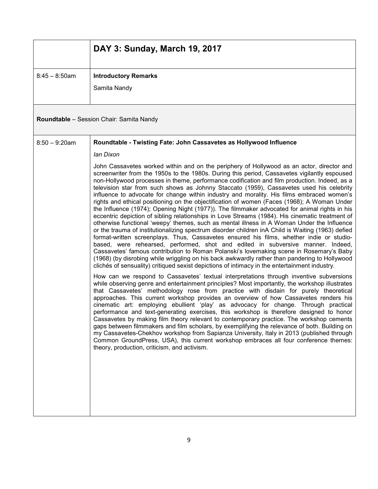|                  | DAY 3: Sunday, March 19, 2017                                                                                                                                                                                                                                                                                                                                                                                                                                                                                                                                                                                                                                                                                                                                                                                                                                                                                                                                                                                                                                                                                                                                                                                                                                                                                                                                                                                                                                        |
|------------------|----------------------------------------------------------------------------------------------------------------------------------------------------------------------------------------------------------------------------------------------------------------------------------------------------------------------------------------------------------------------------------------------------------------------------------------------------------------------------------------------------------------------------------------------------------------------------------------------------------------------------------------------------------------------------------------------------------------------------------------------------------------------------------------------------------------------------------------------------------------------------------------------------------------------------------------------------------------------------------------------------------------------------------------------------------------------------------------------------------------------------------------------------------------------------------------------------------------------------------------------------------------------------------------------------------------------------------------------------------------------------------------------------------------------------------------------------------------------|
| $8:45 - 8:50$ am | <b>Introductory Remarks</b><br>Samita Nandy                                                                                                                                                                                                                                                                                                                                                                                                                                                                                                                                                                                                                                                                                                                                                                                                                                                                                                                                                                                                                                                                                                                                                                                                                                                                                                                                                                                                                          |
|                  | <b>Roundtable</b> - Session Chair: Samita Nandy                                                                                                                                                                                                                                                                                                                                                                                                                                                                                                                                                                                                                                                                                                                                                                                                                                                                                                                                                                                                                                                                                                                                                                                                                                                                                                                                                                                                                      |
| $8:50 - 9:20$ am | Roundtable - Twisting Fate: John Cassavetes as Hollywood Influence                                                                                                                                                                                                                                                                                                                                                                                                                                                                                                                                                                                                                                                                                                                                                                                                                                                                                                                                                                                                                                                                                                                                                                                                                                                                                                                                                                                                   |
|                  | lan Dixon                                                                                                                                                                                                                                                                                                                                                                                                                                                                                                                                                                                                                                                                                                                                                                                                                                                                                                                                                                                                                                                                                                                                                                                                                                                                                                                                                                                                                                                            |
|                  | John Cassavetes worked within and on the periphery of Hollywood as an actor, director and<br>screenwriter from the 1950s to the 1980s. During this period, Cassavetes vigilantly espoused<br>non-Hollywood processes in theme, performance codification and film production. Indeed, as a<br>television star from such shows as Johnny Staccato (1959), Cassavetes used his celebrity<br>influence to advocate for change within industry and morality. His films embraced women's<br>rights and ethical positioning on the objectification of women (Faces (1968); A Woman Under<br>the Influence (1974); Opening Night (1977)). The filmmaker advocated for animal rights in his<br>eccentric depiction of sibling relationships in Love Streams (1984). His cinematic treatment of<br>otherwise functional 'weepy' themes, such as mental illness in A Woman Under the Influence<br>or the trauma of institutionalizing spectrum disorder children inA Child is Waiting (1963) defied<br>format-written screenplays. Thus, Cassavetes ensured his films, whether indie or studio-<br>based, were rehearsed, performed, shot and edited in subversive manner. Indeed,<br>Cassavetes' famous contribution to Roman Polanski's lovemaking scene in Rosemary's Baby<br>(1968) (by disrobing while wriggling on his back awkwardly rather than pandering to Hollywood<br>clichés of sensuality) critiqued sexist depictions of intimacy in the entertainment industry. |
|                  | How can we respond to Cassavetes' textual interpretations through inventive subversions<br>while observing genre and entertainment principles? Most importantly, the workshop illustrates<br>that Cassavetes' methodology rose from practice with disdain for purely theoretical<br>approaches. This current workshop provides an overview of how Cassavetes renders his<br>cinematic art: employing ebullient 'play' as advocacy for change. Through practical<br>performance and text-generating exercises, this workshop is therefore designed to honor<br>Cassavetes by making film theory relevant to contemporary practice. The workshop cements<br>gaps between filmmakers and film scholars, by exemplifying the relevance of both. Building on<br>my Cassavetes-Chekhov workshop from Sapianza University, Italy in 2013 (published through<br>Common GroundPress, USA), this current workshop embraces all four conference themes:<br>theory, production, criticism, and activism.                                                                                                                                                                                                                                                                                                                                                                                                                                                                         |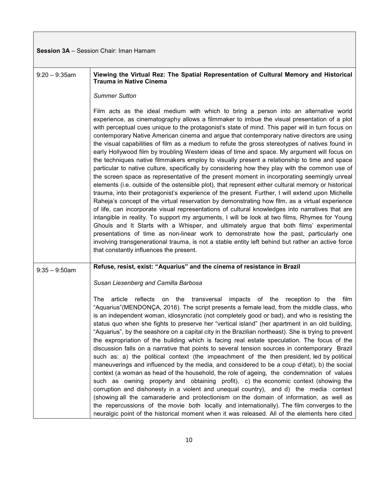| <b>Session 3A</b> – Session Chair: Iman Hamam |  |  |
|-----------------------------------------------|--|--|
|-----------------------------------------------|--|--|

| $9:20 - 9:35$ am | Viewing the Virtual Rez: The Spatial Representation of Cultural Memory and Historical<br><b>Trauma in Native Cinema</b>                                                                                                                                                                                                                                                                                                                                                                                                                                                                                                                                                                                                                                                                                                                                                                                                                                                                                                                                                                                                                                                                                                                                                                                                                                                                                                                                                                                                                                                                                                                                                                                                                        |
|------------------|------------------------------------------------------------------------------------------------------------------------------------------------------------------------------------------------------------------------------------------------------------------------------------------------------------------------------------------------------------------------------------------------------------------------------------------------------------------------------------------------------------------------------------------------------------------------------------------------------------------------------------------------------------------------------------------------------------------------------------------------------------------------------------------------------------------------------------------------------------------------------------------------------------------------------------------------------------------------------------------------------------------------------------------------------------------------------------------------------------------------------------------------------------------------------------------------------------------------------------------------------------------------------------------------------------------------------------------------------------------------------------------------------------------------------------------------------------------------------------------------------------------------------------------------------------------------------------------------------------------------------------------------------------------------------------------------------------------------------------------------|
|                  | <b>Summer Sutton</b>                                                                                                                                                                                                                                                                                                                                                                                                                                                                                                                                                                                                                                                                                                                                                                                                                                                                                                                                                                                                                                                                                                                                                                                                                                                                                                                                                                                                                                                                                                                                                                                                                                                                                                                           |
|                  | Film acts as the ideal medium with which to bring a person into an alternative world<br>experience, as cinematography allows a filmmaker to imbue the visual presentation of a plot<br>with perceptual cues unique to the protagonist's state of mind. This paper will in turn focus on<br>contemporary Native American cinema and argue that contemporary native directors are using<br>the visual capabilities of film as a medium to refute the gross stereotypes of natives found in<br>early Hollywood film by troubling Western ideas of time and space. My argument will focus on<br>the techniques native filmmakers employ to visually present a relationship to time and space<br>particular to native culture, specifically by considering how they play with the common use of<br>the screen space as representative of the present moment in incorporating seemingly unreal<br>elements (i.e. outside of the ostensible plot), that represent either cultural memory or historical<br>trauma, into their protagonist's experience of the present. Further, I will extend upon Michelle<br>Raheja's concept of the virtual reservation by demonstrating how film, as a virtual experience<br>of life, can incorporate visual representations of cultural knowledges into narratives that are<br>intangible in reality. To support my arguments, I will be look at two films, Rhymes for Young<br>Ghouls and It Starts with a Whisper, and ultimately argue that both films' experimental<br>presentations of time as non-linear work to demonstrate how the past, particularly one<br>involving transgenerational trauma, is not a stable entity left behind but rather an active force<br>that constantly influences the present. |
| $9:35 - 9:50$ am | Refuse, resist, exist: "Aquarius" and the cinema of resistance in Brazil                                                                                                                                                                                                                                                                                                                                                                                                                                                                                                                                                                                                                                                                                                                                                                                                                                                                                                                                                                                                                                                                                                                                                                                                                                                                                                                                                                                                                                                                                                                                                                                                                                                                       |
|                  | Susan Liesenberg and Camilla Barbosa                                                                                                                                                                                                                                                                                                                                                                                                                                                                                                                                                                                                                                                                                                                                                                                                                                                                                                                                                                                                                                                                                                                                                                                                                                                                                                                                                                                                                                                                                                                                                                                                                                                                                                           |
|                  | article reflects on the transversal impacts of the reception to the<br>film<br>The<br>"Aquarius" (MENDONÇA, 2016). The script presents a female lead, from the middle class, who<br>is an independent woman, idiosyncratic (not completely good or bad), and who is resisting the<br>status quo when she fights to preserve her "vertical island" (her apartment in an old building,<br>"Aquarius", by the seashore on a capital city in the Brazilian northeast). She is trying to prevent<br>the expropriation of the building which is facing real estate speculation. The focus of the<br>discussion falls on a narrative that points to several tension sources in contemporary Brazil<br>such as: a) the political context (the impeachment of the then president, led by political<br>maneuverings and influenced by the media, and considered to be a coup d'état), b) the social<br>context (a woman as head of the household, the role of ageing, the condemnation of values<br>such as owning property and obtaining profit), c) the economic context (showing the<br>corruption and dishonesty in a violent and unequal country), and d) the media context<br>(showing all the camaraderie and protectionism on the domain of information, as well as<br>the repercussions of the movie both locally and internationally). The film converges to the<br>neuralgic point of the historical moment when it was released. All of the elements here cited                                                                                                                                                                                                                                                                              |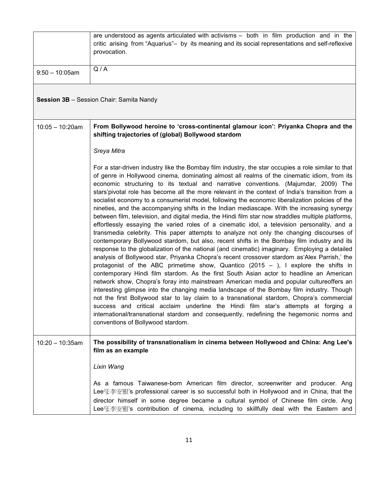|                   | are understood as agents articulated with activisms - both in film production and in the<br>critic arising from "Aquarius" – by its meaning and its social representations and self-reflexive<br>provocation.                                                                                                                                                                                                                                                                                                                                                                                                                                                                                                                                                                                                                                                                                                                                                                                                                                                                                                                                                                                                                                                                                                                                                                                                                                                                                                                                                                                                                                                                                                                                                                                                                                                                                |
|-------------------|----------------------------------------------------------------------------------------------------------------------------------------------------------------------------------------------------------------------------------------------------------------------------------------------------------------------------------------------------------------------------------------------------------------------------------------------------------------------------------------------------------------------------------------------------------------------------------------------------------------------------------------------------------------------------------------------------------------------------------------------------------------------------------------------------------------------------------------------------------------------------------------------------------------------------------------------------------------------------------------------------------------------------------------------------------------------------------------------------------------------------------------------------------------------------------------------------------------------------------------------------------------------------------------------------------------------------------------------------------------------------------------------------------------------------------------------------------------------------------------------------------------------------------------------------------------------------------------------------------------------------------------------------------------------------------------------------------------------------------------------------------------------------------------------------------------------------------------------------------------------------------------------|
| $9:50 - 10:05$ am | Q/A                                                                                                                                                                                                                                                                                                                                                                                                                                                                                                                                                                                                                                                                                                                                                                                                                                                                                                                                                                                                                                                                                                                                                                                                                                                                                                                                                                                                                                                                                                                                                                                                                                                                                                                                                                                                                                                                                          |
|                   | <b>Session 3B</b> - Session Chair: Samita Nandy                                                                                                                                                                                                                                                                                                                                                                                                                                                                                                                                                                                                                                                                                                                                                                                                                                                                                                                                                                                                                                                                                                                                                                                                                                                                                                                                                                                                                                                                                                                                                                                                                                                                                                                                                                                                                                              |
| $10:05 - 10:20am$ | From Bollywood heroine to 'cross-continental glamour icon': Priyanka Chopra and the<br>shifting trajectories of (global) Bollywood stardom                                                                                                                                                                                                                                                                                                                                                                                                                                                                                                                                                                                                                                                                                                                                                                                                                                                                                                                                                                                                                                                                                                                                                                                                                                                                                                                                                                                                                                                                                                                                                                                                                                                                                                                                                   |
|                   | Sreya Mitra                                                                                                                                                                                                                                                                                                                                                                                                                                                                                                                                                                                                                                                                                                                                                                                                                                                                                                                                                                                                                                                                                                                                                                                                                                                                                                                                                                                                                                                                                                                                                                                                                                                                                                                                                                                                                                                                                  |
|                   | For a star-driven industry like the Bombay film industry, the star occupies a role similar to that<br>of genre in Hollywood cinema, dominating almost all realms of the cinematic idiom, from its<br>economic structuring to its textual and narrative conventions. (Majumdar, 2009) The<br>stars'pivotal role has become all the more relevant in the context of India's transition from a<br>socialist economy to a consumerist model, following the economic liberalization policies of the<br>nineties, and the accompanying shifts in the Indian mediascape. With the increasing synergy<br>between film, television, and digital media, the Hindi film star now straddles multiple platforms,<br>effortlessly essaying the varied roles of a cinematic idol, a television personality, and a<br>transmedia celebrity. This paper attempts to analyze not only the changing discourses of<br>contemporary Bollywood stardom, but also, recent shifts in the Bombay film industry and its<br>response to the globalization of the national (and cinematic) imaginary. Employing a detailed<br>analysis of Bollywood star, Priyanka Chopra's recent crossover stardom as Alex Parrish,' the<br>protagonist of the ABC primetime show, Quantico (2015 - ), I explore the shifts in<br>contemporary Hindi film stardom. As the first South Asian actor to headline an American<br>network show, Chopra's foray into mainstream American media and popular cultureoffers an<br>interesting glimpse into the changing media landscape of the Bombay film industry. Though<br>not the first Bollywood star to lay claim to a transnational stardom, Chopra's commercial<br>success and critical acclaim underline the Hindi film star's attempts at forging a<br>international/transnational stardom and consequently, redefining the hegemonic norms and<br>conventions of Bollywood stardom. |
| $10:20 - 10:35am$ | The possibility of transnationalism in cinema between Hollywood and China: Ang Lee's<br>film as an example                                                                                                                                                                                                                                                                                                                                                                                                                                                                                                                                                                                                                                                                                                                                                                                                                                                                                                                                                                                                                                                                                                                                                                                                                                                                                                                                                                                                                                                                                                                                                                                                                                                                                                                                                                                   |
|                   | Lixin Wang                                                                                                                                                                                                                                                                                                                                                                                                                                                                                                                                                                                                                                                                                                                                                                                                                                                                                                                                                                                                                                                                                                                                                                                                                                                                                                                                                                                                                                                                                                                                                                                                                                                                                                                                                                                                                                                                                   |
|                   | As a famous Taiwanese-born American film director, screenwriter and producer. Ang<br>director himself in some degree became a cultural symbol of Chinese film circle. Ang<br>Lee또李安狠's contribution of cinema, including to skillfully deal with the Eastern and                                                                                                                                                                                                                                                                                                                                                                                                                                                                                                                                                                                                                                                                                                                                                                                                                                                                                                                                                                                                                                                                                                                                                                                                                                                                                                                                                                                                                                                                                                                                                                                                                             |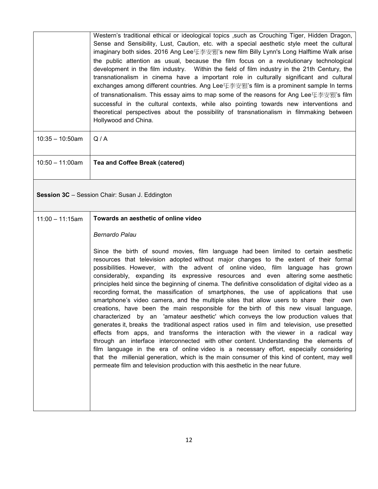|                    | Western's traditional ethical or ideological topics such as Crouching Tiger, Hidden Dragon,<br>Sense and Sensibility, Lust, Caution, etc. with a special aesthetic style meet the cultural<br>imaginary both sides. 2016 Ang Lee $\&$ 李安/ is new film Billy Lynn's Long Halftime Walk arise<br>the public attention as usual, because the film focus on a revolutionary technological<br>development in the film industry. Within the field of film industry in the 21th Century, the<br>transnationalism in cinema have a important role in culturally significant and cultural<br>exchanges among different countries. Ang Lee牙李安珉's film is a prominent sample In terms<br>of transnationalism. This essay aims to map some of the reasons for Ang Lee또李安/ 's film<br>successful in the cultural contexts, while also pointing towards new interventions and<br>theoretical perspectives about the possibility of transnationalism in filmmaking between<br>Hollywood and China.                                                                                                                                                                                                                                                                                                                                                                                                         |
|--------------------|---------------------------------------------------------------------------------------------------------------------------------------------------------------------------------------------------------------------------------------------------------------------------------------------------------------------------------------------------------------------------------------------------------------------------------------------------------------------------------------------------------------------------------------------------------------------------------------------------------------------------------------------------------------------------------------------------------------------------------------------------------------------------------------------------------------------------------------------------------------------------------------------------------------------------------------------------------------------------------------------------------------------------------------------------------------------------------------------------------------------------------------------------------------------------------------------------------------------------------------------------------------------------------------------------------------------------------------------------------------------------------------------|
| $10:35 - 10:50$ am | Q/A                                                                                                                                                                                                                                                                                                                                                                                                                                                                                                                                                                                                                                                                                                                                                                                                                                                                                                                                                                                                                                                                                                                                                                                                                                                                                                                                                                                         |
| $10:50 - 11:00am$  | <b>Tea and Coffee Break (catered)</b>                                                                                                                                                                                                                                                                                                                                                                                                                                                                                                                                                                                                                                                                                                                                                                                                                                                                                                                                                                                                                                                                                                                                                                                                                                                                                                                                                       |
|                    | Session 3C - Session Chair: Susan J. Eddington                                                                                                                                                                                                                                                                                                                                                                                                                                                                                                                                                                                                                                                                                                                                                                                                                                                                                                                                                                                                                                                                                                                                                                                                                                                                                                                                              |
| $11:00 - 11:15am$  | Towards an aesthetic of online video                                                                                                                                                                                                                                                                                                                                                                                                                                                                                                                                                                                                                                                                                                                                                                                                                                                                                                                                                                                                                                                                                                                                                                                                                                                                                                                                                        |
|                    | <b>Bernardo Palau</b>                                                                                                                                                                                                                                                                                                                                                                                                                                                                                                                                                                                                                                                                                                                                                                                                                                                                                                                                                                                                                                                                                                                                                                                                                                                                                                                                                                       |
|                    | Since the birth of sound movies, film language had been limited to certain aesthetic<br>resources that television adopted without major changes to the extent of their formal<br>possibilities. However, with the advent of online video, film language has<br>grown<br>considerably, expanding its expressive resources and even altering some aesthetic<br>principles held since the beginning of cinema. The definitive consolidation of digital video as a<br>recording format, the massification of smartphones, the use of applications that use<br>smartphone's video camera, and the multiple sites that allow users to share their own<br>creations, have been the main responsible for the birth of this new visual language,<br>characterized by an 'amateur aesthetic' which conveys the low production values that<br>generates it, breaks the traditional aspect ratios used in film and television, use presetted<br>effects from apps, and transforms the interaction with the viewer in a radical way<br>through an interface interconnected with other content. Understanding the elements of<br>film language in the era of online video is a necessary effort, especially considering<br>that the millenial generation, which is the main consumer of this kind of content, may well<br>permeate film and television production with this aesthetic in the near future. |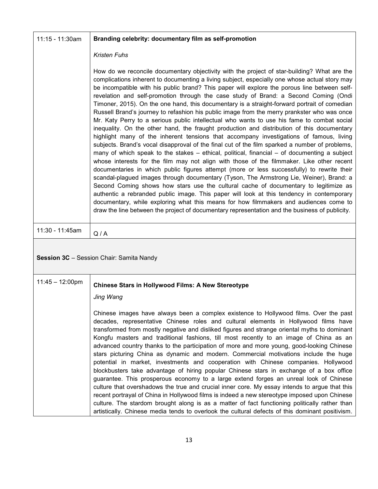| 11:15 - 11:30am           | Branding celebrity: documentary film as self-promotion                                                                                                                                                                                                                                                                                                                                                                                                                                                                                                                                                                                                                                                                                                                                                                                                                                                                                                                                                                                                                                                                                                                                                                                                                                                                                                                                                                                                                                                                                                                                                                                                                                                                                                 |
|---------------------------|--------------------------------------------------------------------------------------------------------------------------------------------------------------------------------------------------------------------------------------------------------------------------------------------------------------------------------------------------------------------------------------------------------------------------------------------------------------------------------------------------------------------------------------------------------------------------------------------------------------------------------------------------------------------------------------------------------------------------------------------------------------------------------------------------------------------------------------------------------------------------------------------------------------------------------------------------------------------------------------------------------------------------------------------------------------------------------------------------------------------------------------------------------------------------------------------------------------------------------------------------------------------------------------------------------------------------------------------------------------------------------------------------------------------------------------------------------------------------------------------------------------------------------------------------------------------------------------------------------------------------------------------------------------------------------------------------------------------------------------------------------|
|                           | <b>Kristen Fuhs</b>                                                                                                                                                                                                                                                                                                                                                                                                                                                                                                                                                                                                                                                                                                                                                                                                                                                                                                                                                                                                                                                                                                                                                                                                                                                                                                                                                                                                                                                                                                                                                                                                                                                                                                                                    |
|                           | How do we reconcile documentary objectivity with the project of star-building? What are the<br>complications inherent to documenting a living subject, especially one whose actual story may<br>be incompatible with his public brand? This paper will explore the porous line between self-<br>revelation and self-promotion through the case study of Brand: a Second Coming (Ondi<br>Timoner, 2015). On the one hand, this documentary is a straight-forward portrait of comedian<br>Russell Brand's journey to refashion his public image from the merry prankster who was once<br>Mr. Katy Perry to a serious public intellectual who wants to use his fame to combat social<br>inequality. On the other hand, the fraught production and distribution of this documentary<br>highlight many of the inherent tensions that accompany investigations of famous, living<br>subjects. Brand's vocal disapproval of the final cut of the film sparked a number of problems,<br>many of which speak to the stakes $-$ ethical, political, financial $-$ of documenting a subject<br>whose interests for the film may not align with those of the filmmaker. Like other recent<br>documentaries in which public figures attempt (more or less successfully) to rewrite their<br>scandal-plagued images through documentary (Tyson, The Armstrong Lie, Weiner), Brand: a<br>Second Coming shows how stars use the cultural cache of documentary to legitimize as<br>authentic a rebranded public image. This paper will look at this tendency in contemporary<br>documentary, while exploring what this means for how filmmakers and audiences come to<br>draw the line between the project of documentary representation and the business of publicity. |
|                           |                                                                                                                                                                                                                                                                                                                                                                                                                                                                                                                                                                                                                                                                                                                                                                                                                                                                                                                                                                                                                                                                                                                                                                                                                                                                                                                                                                                                                                                                                                                                                                                                                                                                                                                                                        |
| 11:30 - 11:45am           | Q/A                                                                                                                                                                                                                                                                                                                                                                                                                                                                                                                                                                                                                                                                                                                                                                                                                                                                                                                                                                                                                                                                                                                                                                                                                                                                                                                                                                                                                                                                                                                                                                                                                                                                                                                                                    |
|                           | Session 3C - Session Chair: Samita Nandy                                                                                                                                                                                                                                                                                                                                                                                                                                                                                                                                                                                                                                                                                                                                                                                                                                                                                                                                                                                                                                                                                                                                                                                                                                                                                                                                                                                                                                                                                                                                                                                                                                                                                                               |
| $11:45 - 12:00 \text{pm}$ | <b>Chinese Stars in Hollywood Films: A New Stereotype</b>                                                                                                                                                                                                                                                                                                                                                                                                                                                                                                                                                                                                                                                                                                                                                                                                                                                                                                                                                                                                                                                                                                                                                                                                                                                                                                                                                                                                                                                                                                                                                                                                                                                                                              |
|                           | Jing Wang                                                                                                                                                                                                                                                                                                                                                                                                                                                                                                                                                                                                                                                                                                                                                                                                                                                                                                                                                                                                                                                                                                                                                                                                                                                                                                                                                                                                                                                                                                                                                                                                                                                                                                                                              |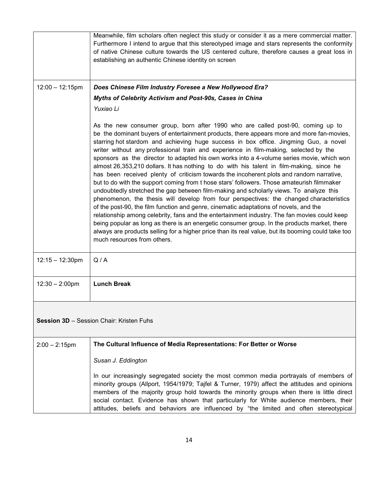|                                          | Meanwhile, film scholars often neglect this study or consider it as a mere commercial matter.<br>Furthermore I intend to argue that this stereotyped image and stars represents the conformity<br>of native Chinese culture towards the US centered culture, therefore causes a great loss in<br>establishing an authentic Chinese identity on screen                                                                                                                                                                                                                                                                                                                                                                                                                                                                                                                                                                                                                                                                                                                                                                                                                                                                                                                                                                                                              |
|------------------------------------------|--------------------------------------------------------------------------------------------------------------------------------------------------------------------------------------------------------------------------------------------------------------------------------------------------------------------------------------------------------------------------------------------------------------------------------------------------------------------------------------------------------------------------------------------------------------------------------------------------------------------------------------------------------------------------------------------------------------------------------------------------------------------------------------------------------------------------------------------------------------------------------------------------------------------------------------------------------------------------------------------------------------------------------------------------------------------------------------------------------------------------------------------------------------------------------------------------------------------------------------------------------------------------------------------------------------------------------------------------------------------|
| $12:00 - 12:15$ pm                       | Does Chinese Film Industry Foresee a New Hollywood Era?                                                                                                                                                                                                                                                                                                                                                                                                                                                                                                                                                                                                                                                                                                                                                                                                                                                                                                                                                                                                                                                                                                                                                                                                                                                                                                            |
|                                          | Myths of Celebrity Activism and Post-90s, Cases in China                                                                                                                                                                                                                                                                                                                                                                                                                                                                                                                                                                                                                                                                                                                                                                                                                                                                                                                                                                                                                                                                                                                                                                                                                                                                                                           |
|                                          | Yuxiao Li                                                                                                                                                                                                                                                                                                                                                                                                                                                                                                                                                                                                                                                                                                                                                                                                                                                                                                                                                                                                                                                                                                                                                                                                                                                                                                                                                          |
|                                          | As the new consumer group, born after 1990 who are called post-90, coming up to<br>be the dominant buyers of entertainment products, there appears more and more fan-movies,<br>starring hot stardom and achieving huge success in box office. Jingming Guo, a novel<br>writer without any professional train and experience in film-making, selected by the<br>sponsors as the director to adapted his own works into a 4-volume series movie, which won<br>almost 26,353,210 dollars. It has nothing to do with his talent in film-making, since he<br>has been received plenty of criticism towards the incoherent plots and random narrative,<br>but to do with the support coming from t hose stars' followers. Those amateurish filmmaker<br>undoubtedly stretched the gap between film-making and scholarly views. To analyze this<br>phenomenon, the thesis will develop from four perspectives: the changed characteristics<br>of the post-90, the film function and genre, cinematic adaptations of novels, and the<br>relationship among celebrity, fans and the entertainment industry. The fan movies could keep<br>being popular as long as there is an energetic consumer group. In the products market, there<br>always are products selling for a higher price than its real value, but its booming could take too<br>much resources from others. |
| $12:15 - 12:30$ pm                       | Q/A                                                                                                                                                                                                                                                                                                                                                                                                                                                                                                                                                                                                                                                                                                                                                                                                                                                                                                                                                                                                                                                                                                                                                                                                                                                                                                                                                                |
| $12:30 - 2:00$ pm                        | <b>Lunch Break</b>                                                                                                                                                                                                                                                                                                                                                                                                                                                                                                                                                                                                                                                                                                                                                                                                                                                                                                                                                                                                                                                                                                                                                                                                                                                                                                                                                 |
| Session 3D - Session Chair: Kristen Fuhs |                                                                                                                                                                                                                                                                                                                                                                                                                                                                                                                                                                                                                                                                                                                                                                                                                                                                                                                                                                                                                                                                                                                                                                                                                                                                                                                                                                    |
| $2:00 - 2:15$ pm                         | The Cultural Influence of Media Representations: For Better or Worse                                                                                                                                                                                                                                                                                                                                                                                                                                                                                                                                                                                                                                                                                                                                                                                                                                                                                                                                                                                                                                                                                                                                                                                                                                                                                               |
|                                          | Susan J. Eddington                                                                                                                                                                                                                                                                                                                                                                                                                                                                                                                                                                                                                                                                                                                                                                                                                                                                                                                                                                                                                                                                                                                                                                                                                                                                                                                                                 |
|                                          | In our increasingly segregated society the most common media portrayals of members of<br>minority groups (Allport, 1954/1979; Tajfel & Turner, 1979) affect the attitudes and opinions<br>members of the majority group hold towards the minority groups when there is little direct<br>social contact. Evidence has shown that particularly for White audience members, their<br>attitudes, beliefs and behaviors are influenced by "the limited and often stereotypical                                                                                                                                                                                                                                                                                                                                                                                                                                                                                                                                                                                                                                                                                                                                                                                                                                                                                          |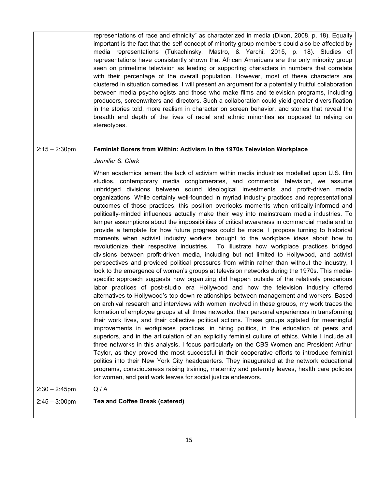|                  | representations of race and ethnicity" as characterized in media (Dixon, 2008, p. 18). Equally<br>important is the fact that the self-concept of minority group members could also be affected by<br>media representations (Tukachinsky, Mastro, & Yarchi, 2015, p. 18). Studies of<br>representations have consistently shown that African Americans are the only minority group<br>seen on primetime television as leading or supporting characters in numbers that correlate<br>with their percentage of the overall population. However, most of these characters are<br>clustered in situation comedies. I will present an argument for a potentially fruitful collaboration<br>between media psychologists and those who make films and television programs, including<br>producers, screenwriters and directors. Such a collaboration could yield greater diversification<br>in the stories told, more realism in character on screen behavior, and stories that reveal the<br>breadth and depth of the lives of racial and ethnic minorities as opposed to relying on<br>stereotypes.                                                                                                                                                                                                                                                                                                                                                                                                                                                                                                                                                                                                                                                                                                                                                                                                                                                                                                                                                                                                                                                                                                                                                                                                                                                                                                                                                                                                          |
|------------------|--------------------------------------------------------------------------------------------------------------------------------------------------------------------------------------------------------------------------------------------------------------------------------------------------------------------------------------------------------------------------------------------------------------------------------------------------------------------------------------------------------------------------------------------------------------------------------------------------------------------------------------------------------------------------------------------------------------------------------------------------------------------------------------------------------------------------------------------------------------------------------------------------------------------------------------------------------------------------------------------------------------------------------------------------------------------------------------------------------------------------------------------------------------------------------------------------------------------------------------------------------------------------------------------------------------------------------------------------------------------------------------------------------------------------------------------------------------------------------------------------------------------------------------------------------------------------------------------------------------------------------------------------------------------------------------------------------------------------------------------------------------------------------------------------------------------------------------------------------------------------------------------------------------------------------------------------------------------------------------------------------------------------------------------------------------------------------------------------------------------------------------------------------------------------------------------------------------------------------------------------------------------------------------------------------------------------------------------------------------------------------------------------------------------------------------------------------------------------------------------------------|
| $2:15 - 2:30$ pm | Feminist Borers from Within: Activism in the 1970s Television Workplace<br>Jennifer S. Clark                                                                                                                                                                                                                                                                                                                                                                                                                                                                                                                                                                                                                                                                                                                                                                                                                                                                                                                                                                                                                                                                                                                                                                                                                                                                                                                                                                                                                                                                                                                                                                                                                                                                                                                                                                                                                                                                                                                                                                                                                                                                                                                                                                                                                                                                                                                                                                                                           |
|                  | When academics lament the lack of activism within media industries modelled upon U.S. film<br>studios, contemporary media conglomerates, and commercial television, we assume<br>unbridged divisions between sound ideological investments and profit-driven media<br>organizations. While certainly well-founded in myriad industry practices and representational<br>outcomes of those practices, this position overlooks moments when critically-informed and<br>politically-minded influences actually make their way into mainstream media industries. To<br>temper assumptions about the impossibilities of critical awareness in commercial media and to<br>provide a template for how future progress could be made, I propose turning to historical<br>moments when activist industry workers brought to the workplace ideas about how to<br>revolutionize their respective industries. To illustrate how workplace practices bridged<br>divisions between profit-driven media, including but not limited to Hollywood, and activist<br>perspectives and provided political pressures from within rather than without the industry, I<br>look to the emergence of women's groups at television networks during the 1970s. This media-<br>specific approach suggests how organizing did happen outside of the relatively precarious<br>labor practices of post-studio era Hollywood and how the television industry offered<br>alternatives to Hollywood's top-down relationships between management and workers. Based<br>on archival research and interviews with women involved in these groups, my work traces the<br>formation of employee groups at all three networks, their personal experiences in transforming<br>their work lives, and their collective political actions. These groups agitated for meaningful<br>improvements in workplaces practices, in hiring politics, in the education of peers and<br>superiors, and in the articulation of an explicitly feminist culture of ethics. While I include all<br>three networks in this analysis, I focus particularly on the CBS Women and President Arthur<br>Taylor, as they proved the most successful in their cooperative efforts to introduce feminist<br>politics into their New York City headquarters. They inaugurated at the network educational<br>programs, consciousness raising training, maternity and paternity leaves, health care policies<br>for women, and paid work leaves for social justice endeavors. |
| $2:30 - 2:45$ pm | Q/A                                                                                                                                                                                                                                                                                                                                                                                                                                                                                                                                                                                                                                                                                                                                                                                                                                                                                                                                                                                                                                                                                                                                                                                                                                                                                                                                                                                                                                                                                                                                                                                                                                                                                                                                                                                                                                                                                                                                                                                                                                                                                                                                                                                                                                                                                                                                                                                                                                                                                                    |
| $2:45 - 3:00$ pm | Tea and Coffee Break (catered)                                                                                                                                                                                                                                                                                                                                                                                                                                                                                                                                                                                                                                                                                                                                                                                                                                                                                                                                                                                                                                                                                                                                                                                                                                                                                                                                                                                                                                                                                                                                                                                                                                                                                                                                                                                                                                                                                                                                                                                                                                                                                                                                                                                                                                                                                                                                                                                                                                                                         |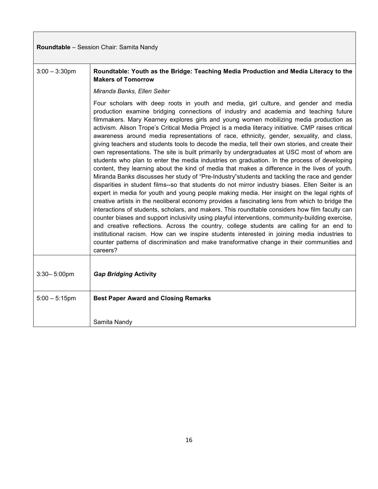| Roundtable - Session Chair: Samita Nandy |                                                                                                                                                                                                                                                                                                                                                                                                                                                                                                                                                                                                                                                                                                                                                                                                                                                                                                                                                                                                                                                                                                                                                                                                                                                                                                                                                                                                                                                                                                                                                                                                                                                                                                                                                                                               |
|------------------------------------------|-----------------------------------------------------------------------------------------------------------------------------------------------------------------------------------------------------------------------------------------------------------------------------------------------------------------------------------------------------------------------------------------------------------------------------------------------------------------------------------------------------------------------------------------------------------------------------------------------------------------------------------------------------------------------------------------------------------------------------------------------------------------------------------------------------------------------------------------------------------------------------------------------------------------------------------------------------------------------------------------------------------------------------------------------------------------------------------------------------------------------------------------------------------------------------------------------------------------------------------------------------------------------------------------------------------------------------------------------------------------------------------------------------------------------------------------------------------------------------------------------------------------------------------------------------------------------------------------------------------------------------------------------------------------------------------------------------------------------------------------------------------------------------------------------|
| $3:00 - 3:30$ pm                         | Roundtable: Youth as the Bridge: Teaching Media Production and Media Literacy to the<br><b>Makers of Tomorrow</b>                                                                                                                                                                                                                                                                                                                                                                                                                                                                                                                                                                                                                                                                                                                                                                                                                                                                                                                                                                                                                                                                                                                                                                                                                                                                                                                                                                                                                                                                                                                                                                                                                                                                             |
|                                          | Miranda Banks, Ellen Seiter                                                                                                                                                                                                                                                                                                                                                                                                                                                                                                                                                                                                                                                                                                                                                                                                                                                                                                                                                                                                                                                                                                                                                                                                                                                                                                                                                                                                                                                                                                                                                                                                                                                                                                                                                                   |
|                                          | Four scholars with deep roots in youth and media, girl culture, and gender and media<br>production examine bridging connections of industry and academia and teaching future<br>filmmakers. Mary Kearney explores girls and young women mobilizing media production as<br>activism. Alison Trope's Critical Media Project is a media literacy initiative. CMP raises critical<br>awareness around media representations of race, ethnicity, gender, sexuality, and class,<br>giving teachers and students tools to decode the media, tell their own stories, and create their<br>own representations. The site is built primarily by undergraduates at USC most of whom are<br>students who plan to enter the media industries on graduation. In the process of developing<br>content, they learning about the kind of media that makes a difference in the lives of youth.<br>Miranda Banks discusses her study of "Pre-Industry" students and tackling the race and gender<br>disparities in student films--so that students do not mirror industry biases. Ellen Seiter is an<br>expert in media for youth and young people making media. Her insight on the legal rights of<br>creative artists in the neoliberal economy provides a fascinating lens from which to bridge the<br>interactions of students, scholars, and makers. This roundtable considers how film faculty can<br>counter biases and support inclusivity using playful interventions, community-building exercise,<br>and creative reflections. Across the country, college students are calling for an end to<br>institutional racism. How can we inspire students interested in joining media industries to<br>counter patterns of discrimination and make transformative change in their communities and<br>careers? |
|                                          |                                                                                                                                                                                                                                                                                                                                                                                                                                                                                                                                                                                                                                                                                                                                                                                                                                                                                                                                                                                                                                                                                                                                                                                                                                                                                                                                                                                                                                                                                                                                                                                                                                                                                                                                                                                               |
| $3:30 - 5:00$ pm                         | <b>Gap Bridging Activity</b>                                                                                                                                                                                                                                                                                                                                                                                                                                                                                                                                                                                                                                                                                                                                                                                                                                                                                                                                                                                                                                                                                                                                                                                                                                                                                                                                                                                                                                                                                                                                                                                                                                                                                                                                                                  |
| $5:00 - 5:15$ pm                         | <b>Best Paper Award and Closing Remarks</b>                                                                                                                                                                                                                                                                                                                                                                                                                                                                                                                                                                                                                                                                                                                                                                                                                                                                                                                                                                                                                                                                                                                                                                                                                                                                                                                                                                                                                                                                                                                                                                                                                                                                                                                                                   |
|                                          | Samita Nandy                                                                                                                                                                                                                                                                                                                                                                                                                                                                                                                                                                                                                                                                                                                                                                                                                                                                                                                                                                                                                                                                                                                                                                                                                                                                                                                                                                                                                                                                                                                                                                                                                                                                                                                                                                                  |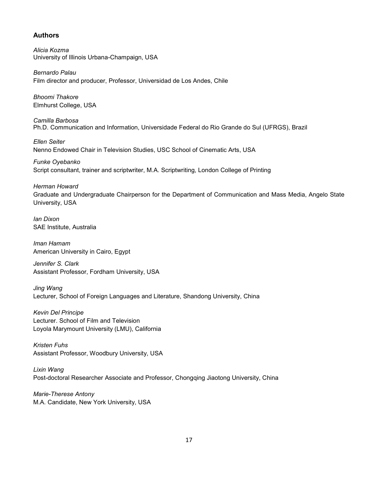#### **Authors**

*Alicia Kozma*  University of Illinois Urbana-Champaign, USA

*Bernardo Palau*  Film director and producer, Professor, Universidad de Los Andes, Chile

*Bhoomi Thakore*  Elmhurst College, USA

*Camilla Barbosa*  Ph.D. Communication and Information, Universidade Federal do Rio Grande do Sul (UFRGS), Brazil

*Ellen Seiter*  Nenno Endowed Chair in Television Studies, USC School of Cinematic Arts, USA

*Funke Oyebanko*  Script consultant, trainer and scriptwriter, M.A. Scriptwriting, London College of Printing

*Herman Howard* 

Graduate and Undergraduate Chairperson for the Department of Communication and Mass Media, Angelo State University, USA

*Ian Dixon*  SAE Institute, Australia

*Iman Hamam*  American University in Cairo, Egypt

*Jennifer S. Clark*  Assistant Professor, Fordham University, USA

*Jing Wang*  Lecturer, School of Foreign Languages and Literature, Shandong University, China

*Kevin Del Principe* Lecturer. School of Film and Television Loyola Marymount University (LMU), California

*Kristen Fuhs*  Assistant Professor, Woodbury University, USA

*Lixin Wang*  Post-doctoral Researcher Associate and Professor, Chongqing Jiaotong University, China

*Marie-Therese Antony*  M.A. Candidate, New York University, USA